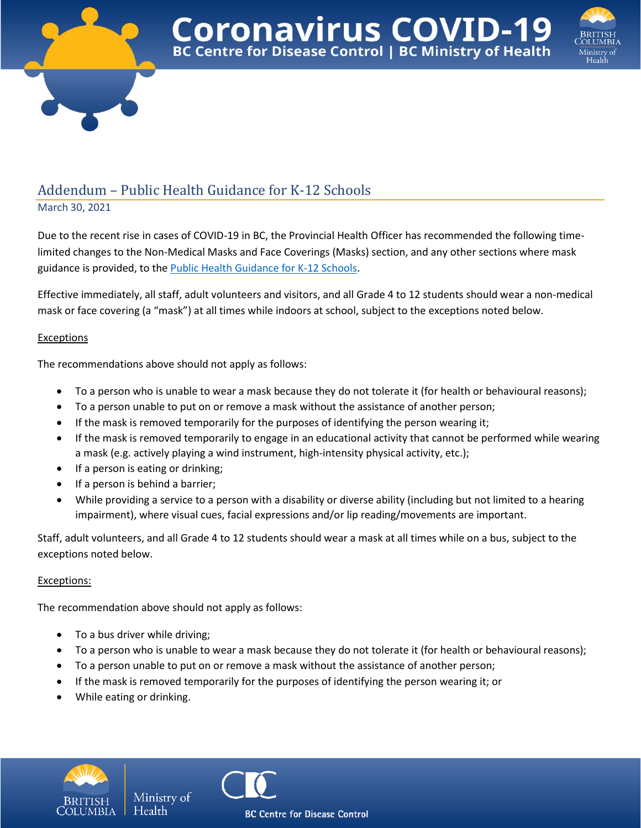



## Addendum – Public Health Guidance for K-12 Schools

March 30, 2021

Due to the recent rise in cases of COVID-19 in BC, the Provincial Health Officer has recommended the following timelimited changes to the Non-Medical Masks and Face Coverings (Masks) section, and any other sections where mask guidance is provided, to the **Public Health Guidance for K-12 Schools**.

**Coronavirus COVID-19**<br>BC Centre for Disease Control | BC Ministry of Health

Effective immediately, all staff, adult volunteers and visitors, and all Grade 4 to 12 students should wear a non-medical mask or face covering (a "mask") at all times while indoors at school, subject to the exceptions noted below.

## **Exceptions**

The recommendations above should not apply as follows:

- To a person who is unable to wear a mask because they do not tolerate it (for health or behavioural reasons);
- To a person unable to put on or remove a mask without the assistance of another person;
- If the mask is removed temporarily for the purposes of identifying the person wearing it;
- If the mask is removed temporarily to engage in an educational activity that cannot be performed while wearing a mask (e.g. actively playing a wind instrument, high-intensity physical activity, etc.);
- If a person is eating or drinking;
- If a person is behind a barrier;
- While providing a service to a person with a disability or diverse ability (including but not limited to a hearing impairment), where visual cues, facial expressions and/or lip reading/movements are important.

Staff, adult volunteers, and all Grade 4 to 12 students should wear a mask at all times while on a bus, subject to the exceptions noted below.

## Exceptions:

The recommendation above should not apply as follows:

Ministry of

Health

- To a bus driver while driving;
- To a person who is unable to wear a mask because they do not tolerate it (for health or behavioural reasons);
- To a person unable to put on or remove a mask without the assistance of another person;
- If the mask is removed temporarily for the purposes of identifying the person wearing it; or
- While eating or drinking.